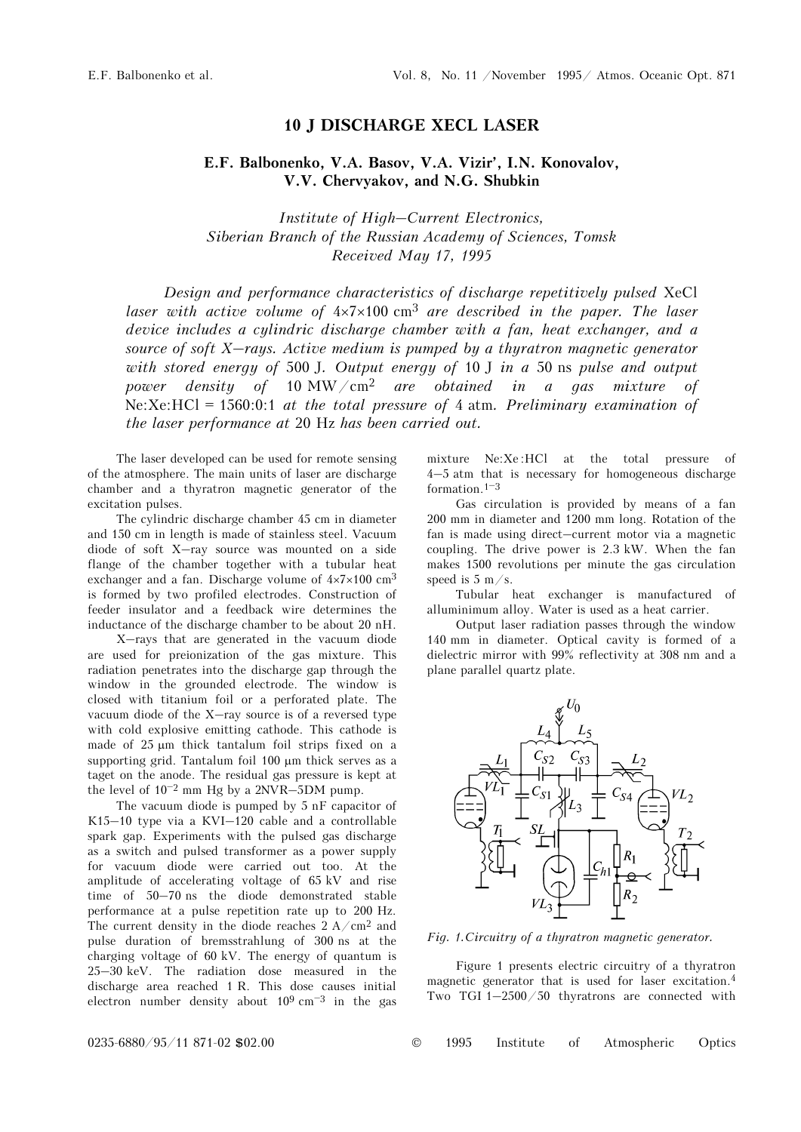## **10 J DISCHARGE XECL LASER**

## **E.F. Balbonenko, V.A. Basov, V.A. Vizir', I.N. Konovalov, V.V. Chervyakov, and N.G. Shubkin**

*Institute of High–Current Electronics, Siberian Branch of the Russian Academy of Sciences, Tomsk Received May 17, 1995* 

*Design and performance characteristics of discharge repetitively pulsed* XeCl *laser with active volume of* 4×7×100 cm3 *are described in the paper. The laser device includes a cylindric discharge chamber with a fan, heat exchanger, and a source of soft X–rays. Active medium is pumped by a thyratron magnetic generator with stored energy of* 500 J*. Output energy of* 10 J *in a* 50 ns *pulse and output power density of* 10 MW/cm2 *are obtained in a gas mixture of*  Ne:Xe:HCl = 1560:0:1 *at the total pressure of* 4 atm*. Preliminary examination of the laser performance at* 20 Hz *has been carried out.* 

The laser developed can be used for remote sensing of the atmosphere. The main units of laser are discharge chamber and a thyratron magnetic generator of the excitation pulses.

The cylindric discharge chamber 45 cm in diameter and 150 cm in length is made of stainless steel. Vacuum diode of soft X–ray source was mounted on a side flange of the chamber together with a tubular heat exchanger and a fan. Discharge volume of  $4 \times 7 \times 100$  cm<sup>3</sup> is formed by two profiled electrodes. Construction of feeder insulator and a feedback wire determines the inductance of the discharge chamber to be about 20 nH.

X–rays that are generated in the vacuum diode are used for preionization of the gas mixture. This radiation penetrates into the discharge gap through the window in the grounded electrode. The window is closed with titanium foil or a perforated plate. The vacuum diode of the X–ray source is of a reversed type with cold explosive emitting cathode. This cathode is made of 25 μm thick tantalum foil strips fixed on a supporting grid. Tantalum foil 100 μm thick serves as a taget on the anode. The residual gas pressure is kept at the level of  $10^{-2}$  mm Hg by a 2NVR-5DM pump.

The vacuum diode is pumped by 5 nF capacitor of K15–10 type via a KVI–120 cable and a controllable spark gap. Experiments with the pulsed gas discharge as a switch and pulsed transformer as a power supply for vacuum diode were carried out too. At the amplitude of accelerating voltage of 65 kV and rise time of 50–70 ns the diode demonstrated stable performance at a pulse repetition rate up to 200 Hz. The current density in the diode reaches  $2 A/cm^2$  and pulse duration of bremsstrahlung of 300 ns at the charging voltage of 60 kV. The energy of quantum is 25–30 keV. The radiation dose measured in the discharge area reached 1 R. This dose causes initial electron number density about  $10^9 \text{ cm}^{-3}$  in the gas mixture Ne:Xe :HCl at the total pressure of 4–5 atm that is necessary for homogeneous discharge formation.1–<sup>3</sup>

Gas circulation is provided by means of a fan 200 mm in diameter and 1200 mm long. Rotation of the fan is made using direct–current motor via a magnetic coupling. The drive power is 2.3 kW. When the fan makes 1500 revolutions per minute the gas circulation speed is  $5 \text{ m/s}$ .

Tubular heat exchanger is manufactured of alluminimum alloy. Water is used as a heat carrier.

Output laser radiation passes through the window 140 mm in diameter. Optical cavity is formed of a dielectric mirror with 99% reflectivity at 308 nm and a plane parallel quartz plate.



*Fig. 1.Circuitry of a thyratron magnetic generator.* 

Figure 1 presents electric circuitry of a thyratron magnetic generator that is used for laser excitation.4 Two TGI 1–2500/50 thyratrons are connected with